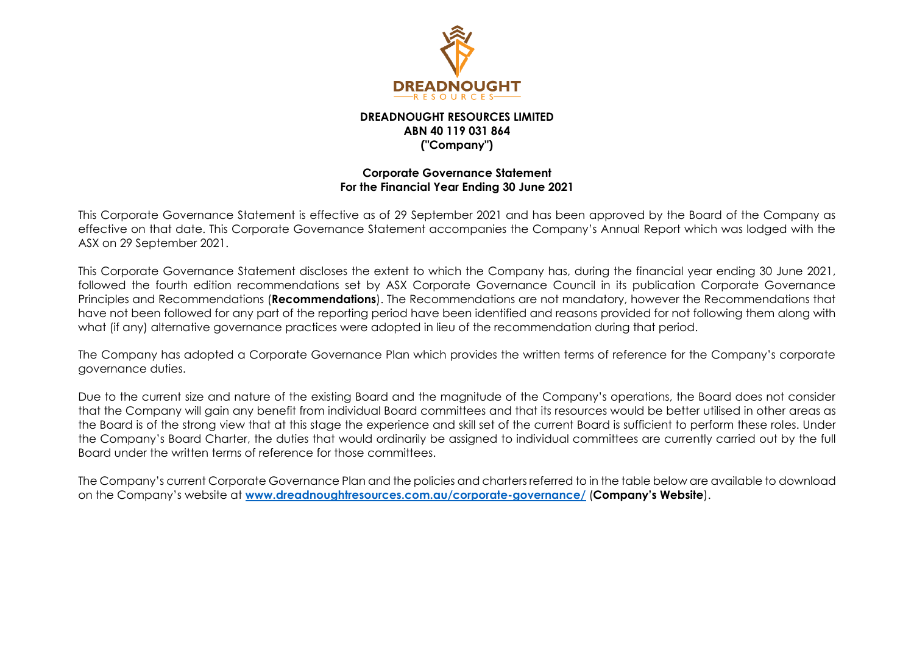

## **DREADNOUGHT RESOURCES LIMITED ABN 40 119 031 864 ("Company")**

## **Corporate Governance Statement For the Financial Year Ending 30 June 2021**

This Corporate Governance Statement is effective as of 29 September 2021 and has been approved by the Board of the Company as effective on that date. This Corporate Governance Statement accompanies the Company's Annual Report which was lodged with the ASX on 29 September 2021.

This Corporate Governance Statement discloses the extent to which the Company has, during the financial year ending 30 June 2021, followed the fourth edition recommendations set by ASX Corporate Governance Council in its publication Corporate Governance Principles and Recommendations (**Recommendations**). The Recommendations are not mandatory, however the Recommendations that have not been followed for any part of the reporting period have been identified and reasons provided for not following them along with what (if any) alternative governance practices were adopted in lieu of the recommendation during that period.

The Company has adopted a Corporate Governance Plan which provides the written terms of reference for the Company's corporate governance duties.

Due to the current size and nature of the existing Board and the magnitude of the Company's operations, the Board does not consider that the Company will gain any benefit from individual Board committees and that its resources would be better utilised in other areas as the Board is of the strong view that at this stage the experience and skill set of the current Board is sufficient to perform these roles. Under the Company's Board Charter, the duties that would ordinarily be assigned to individual committees are currently carried out by the full Board under the written terms of reference for those committees.

The Company's current Corporate Governance Plan and the policies and charters referred to in the table below are available to download on the Company's website at **[www.dreadnoughtresources.com.au/corporate-governance/](http://www.dreadnoughtresources.com.au/corporate-governance/)** (**Company's Website**).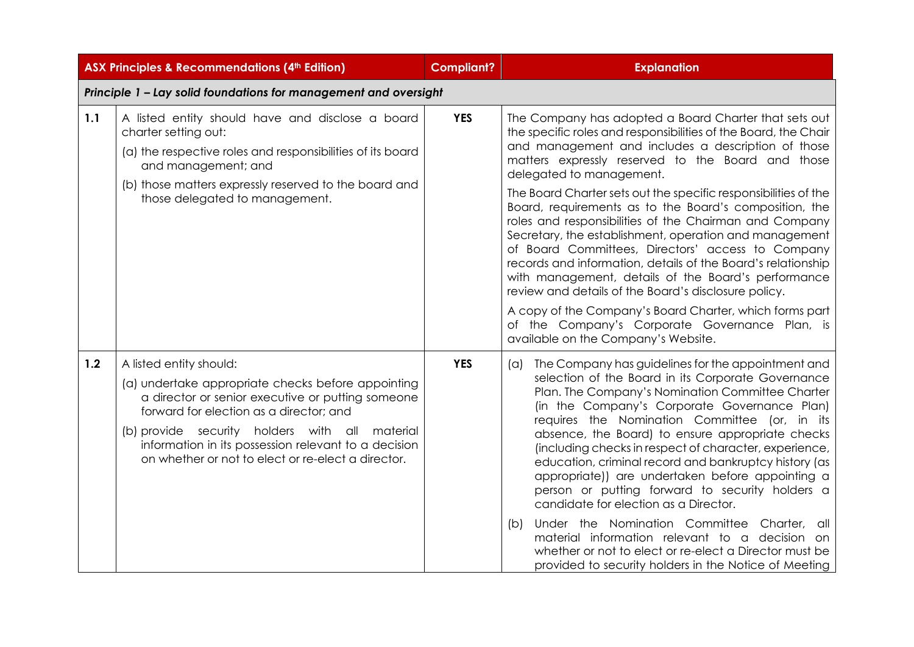|     | <b>ASX Principles &amp; Recommendations (4th Edition)</b>                                                                                                                                                                                                                                                                                     | <b>Compliant?</b> | <b>Explanation</b>                                                                                                                                                                                                                                                                                                                                                                                                                                                                                                                                                                                                                                                                                                                                                                                                                                                                                       |
|-----|-----------------------------------------------------------------------------------------------------------------------------------------------------------------------------------------------------------------------------------------------------------------------------------------------------------------------------------------------|-------------------|----------------------------------------------------------------------------------------------------------------------------------------------------------------------------------------------------------------------------------------------------------------------------------------------------------------------------------------------------------------------------------------------------------------------------------------------------------------------------------------------------------------------------------------------------------------------------------------------------------------------------------------------------------------------------------------------------------------------------------------------------------------------------------------------------------------------------------------------------------------------------------------------------------|
|     | Principle 1 - Lay solid foundations for management and oversight                                                                                                                                                                                                                                                                              |                   |                                                                                                                                                                                                                                                                                                                                                                                                                                                                                                                                                                                                                                                                                                                                                                                                                                                                                                          |
| 1.1 | A listed entity should have and disclose a board<br>charter setting out:<br>(a) the respective roles and responsibilities of its board<br>and management; and<br>(b) those matters expressly reserved to the board and<br>those delegated to management.                                                                                      | <b>YES</b>        | The Company has adopted a Board Charter that sets out<br>the specific roles and responsibilities of the Board, the Chair<br>and management and includes a description of those<br>matters expressly reserved to the Board and those<br>delegated to management.<br>The Board Charter sets out the specific responsibilities of the<br>Board, requirements as to the Board's composition, the<br>roles and responsibilities of the Chairman and Company<br>Secretary, the establishment, operation and management<br>of Board Committees, Directors' access to Company<br>records and information, details of the Board's relationship<br>with management, details of the Board's performance<br>review and details of the Board's disclosure policy.<br>A copy of the Company's Board Charter, which forms part<br>of the Company's Corporate Governance Plan, is<br>available on the Company's Website. |
| 1.2 | A listed entity should:<br>(a) undertake appropriate checks before appointing<br>a director or senior executive or putting someone<br>forward for election as a director; and<br>(b) provide security holders with all material<br>information in its possession relevant to a decision<br>on whether or not to elect or re-elect a director. | <b>YES</b>        | The Company has guidelines for the appointment and<br>(a)<br>selection of the Board in its Corporate Governance<br>Plan. The Company's Nomination Committee Charter<br>(in the Company's Corporate Governance Plan)<br>requires the Nomination Committee (or, in its<br>absence, the Board) to ensure appropriate checks<br>(including checks in respect of character, experience,<br>education, criminal record and bankruptcy history (as<br>appropriate)) are undertaken before appointing a<br>person or putting forward to security holders a<br>candidate for election as a Director.<br>Under the Nomination Committee Charter,<br>(b)<br>- all<br>material information relevant to a decision<br>on.<br>whether or not to elect or re-elect a Director must be<br>provided to security holders in the Notice of Meeting                                                                          |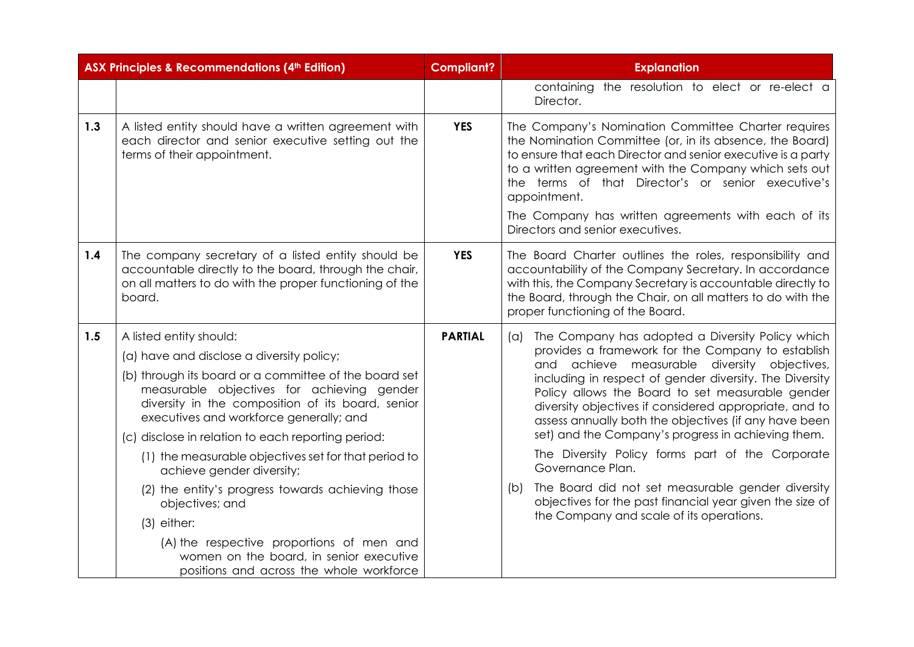|     | <b>ASX Principles &amp; Recommendations (4th Edition)</b>                                                                                                                                                                                                                                                                                                                                                                                                                                                                                                                                                                                           | <b>Compliant?</b> | <b>Explanation</b>                                                                                                                                                                                                                                                                                                                                                                                                                                                                                                                                                                                                                                                                                         |
|-----|-----------------------------------------------------------------------------------------------------------------------------------------------------------------------------------------------------------------------------------------------------------------------------------------------------------------------------------------------------------------------------------------------------------------------------------------------------------------------------------------------------------------------------------------------------------------------------------------------------------------------------------------------------|-------------------|------------------------------------------------------------------------------------------------------------------------------------------------------------------------------------------------------------------------------------------------------------------------------------------------------------------------------------------------------------------------------------------------------------------------------------------------------------------------------------------------------------------------------------------------------------------------------------------------------------------------------------------------------------------------------------------------------------|
|     |                                                                                                                                                                                                                                                                                                                                                                                                                                                                                                                                                                                                                                                     |                   | containing the resolution to elect or re-elect a<br>Director.                                                                                                                                                                                                                                                                                                                                                                                                                                                                                                                                                                                                                                              |
| 1.3 | A listed entity should have a written agreement with<br>each director and senior executive setting out the<br>terms of their appointment.                                                                                                                                                                                                                                                                                                                                                                                                                                                                                                           | <b>YES</b>        | The Company's Nomination Committee Charter requires<br>the Nomination Committee (or, in its absence, the Board)<br>to ensure that each Director and senior executive is a party<br>to a written agreement with the Company which sets out<br>the terms of that Director's or senior executive's<br>appointment.<br>The Company has written agreements with each of its<br>Directors and senior executives.                                                                                                                                                                                                                                                                                                 |
| 1.4 | The company secretary of a listed entity should be<br>accountable directly to the board, through the chair,<br>on all matters to do with the proper functioning of the<br>board.                                                                                                                                                                                                                                                                                                                                                                                                                                                                    | <b>YES</b>        | The Board Charter outlines the roles, responsibility and<br>accountability of the Company Secretary. In accordance<br>with this, the Company Secretary is accountable directly to<br>the Board, through the Chair, on all matters to do with the<br>proper functioning of the Board.                                                                                                                                                                                                                                                                                                                                                                                                                       |
| 1.5 | A listed entity should:<br>(a) have and disclose a diversity policy;<br>(b) through its board or a committee of the board set<br>measurable objectives for achieving gender<br>diversity in the composition of its board, senior<br>executives and workforce generally; and<br>(c) disclose in relation to each reporting period:<br>(1) the measurable objectives set for that period to<br>achieve gender diversity;<br>(2) the entity's progress towards achieving those<br>objectives; and<br>$(3)$ either:<br>(A) the respective proportions of men and<br>women on the board, in senior executive<br>positions and across the whole workforce | <b>PARTIAL</b>    | The Company has adopted a Diversity Policy which<br>$(\alpha)$<br>provides a framework for the Company to establish<br>achieve measurable diversity objectives,<br>and<br>including in respect of gender diversity. The Diversity<br>Policy allows the Board to set measurable gender<br>diversity objectives if considered appropriate, and to<br>assess annually both the objectives (if any have been<br>set) and the Company's progress in achieving them.<br>The Diversity Policy forms part of the Corporate<br>Governance Plan.<br>The Board did not set measurable gender diversity<br>(b)<br>objectives for the past financial year given the size of<br>the Company and scale of its operations. |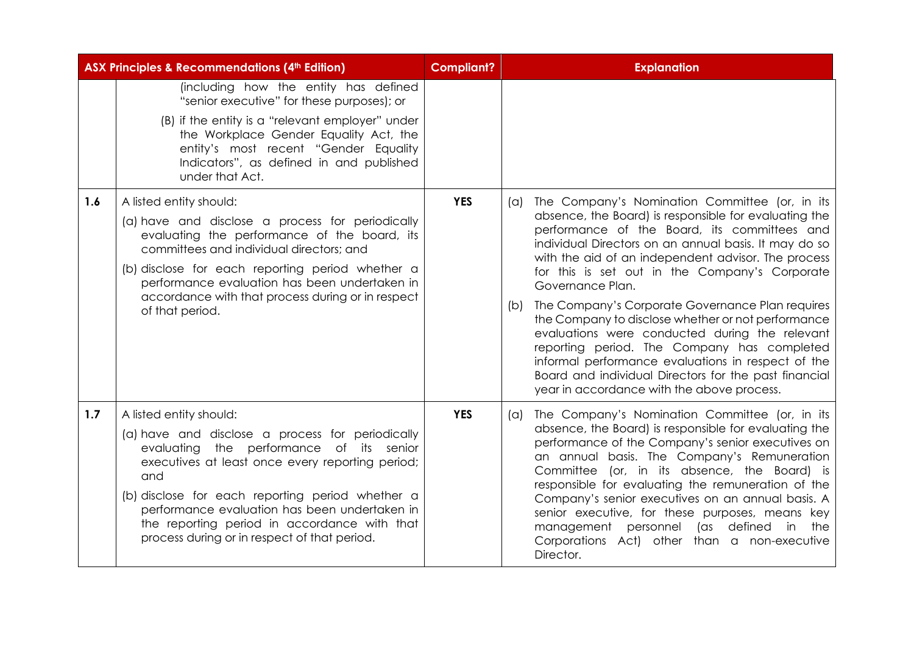|     | <b>ASX Principles &amp; Recommendations (4th Edition)</b>                                                                                                                                                                                                                                                                                                                               | <b>Compliant?</b> | <b>Explanation</b>                                                                                                                                                                                                                                                                                                                                                                                                                                                                                                                                                                                                                                                         |
|-----|-----------------------------------------------------------------------------------------------------------------------------------------------------------------------------------------------------------------------------------------------------------------------------------------------------------------------------------------------------------------------------------------|-------------------|----------------------------------------------------------------------------------------------------------------------------------------------------------------------------------------------------------------------------------------------------------------------------------------------------------------------------------------------------------------------------------------------------------------------------------------------------------------------------------------------------------------------------------------------------------------------------------------------------------------------------------------------------------------------------|
| 1.6 | (including how the entity has defined<br>"senior executive" for these purposes); or<br>(B) if the entity is a "relevant employer" under<br>the Workplace Gender Equality Act, the<br>entity's most recent "Gender Equality<br>Indicators", as defined in and published<br>under that Act.<br>A listed entity should:                                                                    | <b>YES</b>        | The Company's Nomination Committee (or, in its<br>$(\alpha)$                                                                                                                                                                                                                                                                                                                                                                                                                                                                                                                                                                                                               |
|     | (a) have and disclose a process for periodically<br>evaluating the performance of the board, its<br>committees and individual directors; and<br>(b) disclose for each reporting period whether a<br>performance evaluation has been undertaken in<br>accordance with that process during or in respect<br>of that period.                                                               |                   | absence, the Board) is responsible for evaluating the<br>performance of the Board, its committees and<br>individual Directors on an annual basis. It may do so<br>with the aid of an independent advisor. The process<br>for this is set out in the Company's Corporate<br>Governance Plan.<br>The Company's Corporate Governance Plan requires<br>(b)<br>the Company to disclose whether or not performance<br>evaluations were conducted during the relevant<br>reporting period. The Company has completed<br>informal performance evaluations in respect of the<br>Board and individual Directors for the past financial<br>year in accordance with the above process. |
| 1.7 | A listed entity should:<br>(a) have and disclose a process for periodically<br>evaluating the performance of its senior<br>executives at least once every reporting period;<br>and<br>(b) disclose for each reporting period whether a<br>performance evaluation has been undertaken in<br>the reporting period in accordance with that<br>process during or in respect of that period. | <b>YES</b>        | The Company's Nomination Committee (or, in its<br>$(\alpha)$<br>absence, the Board) is responsible for evaluating the<br>performance of the Company's senior executives on<br>an annual basis. The Company's Remuneration<br>Committee (or, in its absence, the Board) is<br>responsible for evaluating the remuneration of the<br>Company's senior executives on an annual basis. A<br>senior executive, for these purposes, means key<br>(as defined in<br>management personnel<br>the<br>Corporations Act) other than a non-executive<br>Director.                                                                                                                      |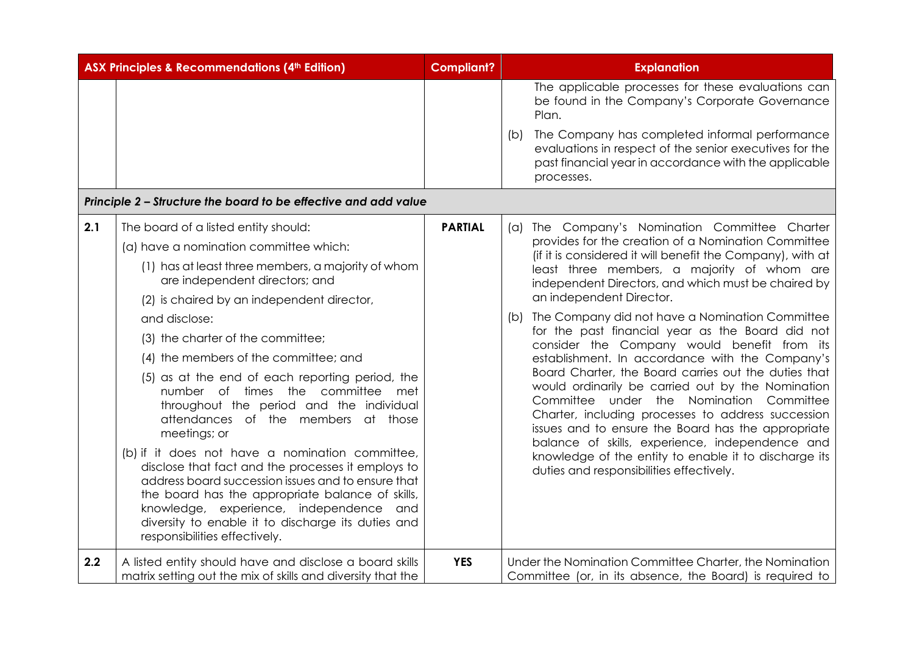|     | <b>ASX Principles &amp; Recommendations (4th Edition)</b>                                                                                                                                                                                                                                                                                                                                                                                                                                                                                                                                                                                                                                                                                                                                                                                                              | <b>Compliant?</b> | <b>Explanation</b>                                                                                                                                                                                                                                                                                                                                                                                                                                                                                                                                                                                                                                                                                                                                                                                                                                                                                                                                    |
|-----|------------------------------------------------------------------------------------------------------------------------------------------------------------------------------------------------------------------------------------------------------------------------------------------------------------------------------------------------------------------------------------------------------------------------------------------------------------------------------------------------------------------------------------------------------------------------------------------------------------------------------------------------------------------------------------------------------------------------------------------------------------------------------------------------------------------------------------------------------------------------|-------------------|-------------------------------------------------------------------------------------------------------------------------------------------------------------------------------------------------------------------------------------------------------------------------------------------------------------------------------------------------------------------------------------------------------------------------------------------------------------------------------------------------------------------------------------------------------------------------------------------------------------------------------------------------------------------------------------------------------------------------------------------------------------------------------------------------------------------------------------------------------------------------------------------------------------------------------------------------------|
|     |                                                                                                                                                                                                                                                                                                                                                                                                                                                                                                                                                                                                                                                                                                                                                                                                                                                                        |                   | The applicable processes for these evaluations can<br>be found in the Company's Corporate Governance<br>Plan.                                                                                                                                                                                                                                                                                                                                                                                                                                                                                                                                                                                                                                                                                                                                                                                                                                         |
|     |                                                                                                                                                                                                                                                                                                                                                                                                                                                                                                                                                                                                                                                                                                                                                                                                                                                                        |                   | The Company has completed informal performance<br>(b)<br>evaluations in respect of the senior executives for the<br>past financial year in accordance with the applicable<br>processes.                                                                                                                                                                                                                                                                                                                                                                                                                                                                                                                                                                                                                                                                                                                                                               |
|     | Principle 2 – Structure the board to be effective and add value                                                                                                                                                                                                                                                                                                                                                                                                                                                                                                                                                                                                                                                                                                                                                                                                        |                   |                                                                                                                                                                                                                                                                                                                                                                                                                                                                                                                                                                                                                                                                                                                                                                                                                                                                                                                                                       |
| 2.1 | The board of a listed entity should:<br>(a) have a nomination committee which:<br>(1) has at least three members, a majority of whom<br>are independent directors; and<br>(2) is chaired by an independent director,<br>and disclose:<br>(3) the charter of the committee;<br>(4) the members of the committee; and<br>(5) as at the end of each reporting period, the<br>number of times the committee<br>met<br>throughout the period and the individual<br>attendances of the members at those<br>meetings; or<br>(b) if it does not have a nomination committee,<br>disclose that fact and the processes it employs to<br>address board succession issues and to ensure that<br>the board has the appropriate balance of skills,<br>knowledge, experience, independence and<br>diversity to enable it to discharge its duties and<br>responsibilities effectively. | <b>PARTIAL</b>    | The Company's Nomination Committee Charter<br>(a)<br>provides for the creation of a Nomination Committee<br>(if it is considered it will benefit the Company), with at<br>least three members, a majority of whom are<br>independent Directors, and which must be chaired by<br>an independent Director.<br>The Company did not have a Nomination Committee<br>(b)<br>for the past financial year as the Board did not<br>consider the Company would benefit from its<br>establishment. In accordance with the Company's<br>Board Charter, the Board carries out the duties that<br>would ordinarily be carried out by the Nomination<br>Committee under the Nomination Committee<br>Charter, including processes to address succession<br>issues and to ensure the Board has the appropriate<br>balance of skills, experience, independence and<br>knowledge of the entity to enable it to discharge its<br>duties and responsibilities effectively. |
| 2.2 | A listed entity should have and disclose a board skills<br>matrix setting out the mix of skills and diversity that the                                                                                                                                                                                                                                                                                                                                                                                                                                                                                                                                                                                                                                                                                                                                                 | <b>YES</b>        | Under the Nomination Committee Charter, the Nomination<br>Committee (or, in its absence, the Board) is required to                                                                                                                                                                                                                                                                                                                                                                                                                                                                                                                                                                                                                                                                                                                                                                                                                                    |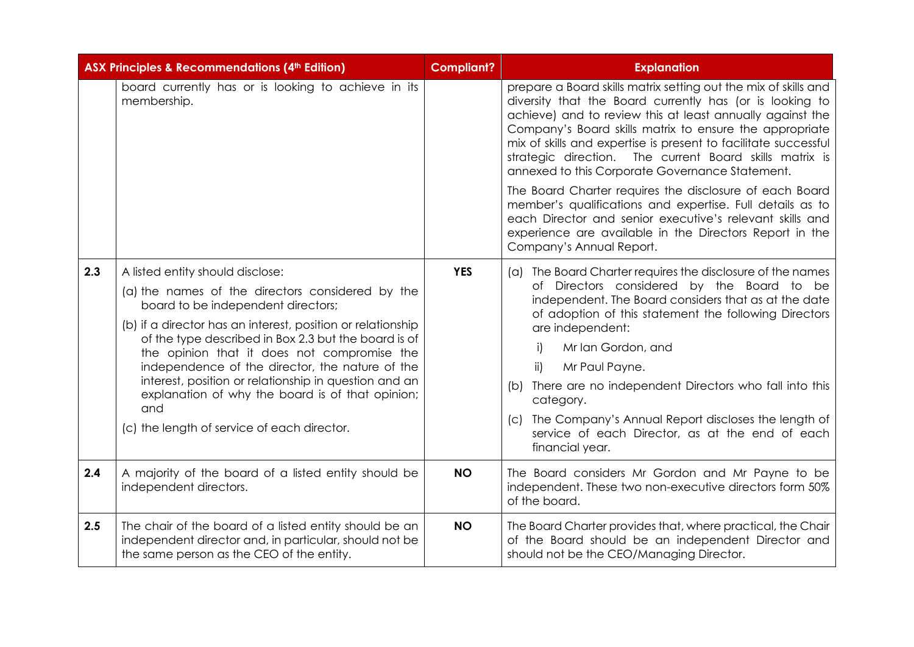|     | ASX Principles & Recommendations (4th Edition)                                                                                                                                                                                                                                                                                                                                                                                                                                                                         | Compliant? | <b>Explanation</b>                                                                                                                                                                                                                                                                                                                                                                                                                                                                                                                                                                                                                                                                                              |
|-----|------------------------------------------------------------------------------------------------------------------------------------------------------------------------------------------------------------------------------------------------------------------------------------------------------------------------------------------------------------------------------------------------------------------------------------------------------------------------------------------------------------------------|------------|-----------------------------------------------------------------------------------------------------------------------------------------------------------------------------------------------------------------------------------------------------------------------------------------------------------------------------------------------------------------------------------------------------------------------------------------------------------------------------------------------------------------------------------------------------------------------------------------------------------------------------------------------------------------------------------------------------------------|
|     | board currently has or is looking to achieve in its<br>membership.                                                                                                                                                                                                                                                                                                                                                                                                                                                     |            | prepare a Board skills matrix setting out the mix of skills and<br>diversity that the Board currently has (or is looking to<br>achieve) and to review this at least annually against the<br>Company's Board skills matrix to ensure the appropriate<br>mix of skills and expertise is present to facilitate successful<br>strategic direction. The current Board skills matrix is<br>annexed to this Corporate Governance Statement.<br>The Board Charter requires the disclosure of each Board<br>member's qualifications and expertise. Full details as to<br>each Director and senior executive's relevant skills and<br>experience are available in the Directors Report in the<br>Company's Annual Report. |
| 2.3 | A listed entity should disclose:<br>(a) the names of the directors considered by the<br>board to be independent directors;<br>(b) if a director has an interest, position or relationship<br>of the type described in Box 2.3 but the board is of<br>the opinion that it does not compromise the<br>independence of the director, the nature of the<br>interest, position or relationship in question and an<br>explanation of why the board is of that opinion;<br>and<br>(c) the length of service of each director. | <b>YES</b> | (a) The Board Charter requires the disclosure of the names<br>of Directors considered by the Board to be<br>independent. The Board considers that as at the date<br>of adoption of this statement the following Directors<br>are independent:<br>Mr Ian Gordon, and<br>i)<br>Mr Paul Payne.<br>$\mathsf{ii}$<br>There are no independent Directors who fall into this<br>(b)<br>category.<br>The Company's Annual Report discloses the length of<br> C <br>service of each Director, as at the end of each<br>financial year.                                                                                                                                                                                   |
| 2.4 | A majority of the board of a listed entity should be<br>independent directors.                                                                                                                                                                                                                                                                                                                                                                                                                                         | <b>NO</b>  | The Board considers Mr Gordon and Mr Payne to be<br>independent. These two non-executive directors form 50%<br>of the board.                                                                                                                                                                                                                                                                                                                                                                                                                                                                                                                                                                                    |
| 2.5 | The chair of the board of a listed entity should be an<br>independent director and, in particular, should not be<br>the same person as the CEO of the entity.                                                                                                                                                                                                                                                                                                                                                          | <b>NO</b>  | The Board Charter provides that, where practical, the Chair<br>of the Board should be an independent Director and<br>should not be the CEO/Managing Director.                                                                                                                                                                                                                                                                                                                                                                                                                                                                                                                                                   |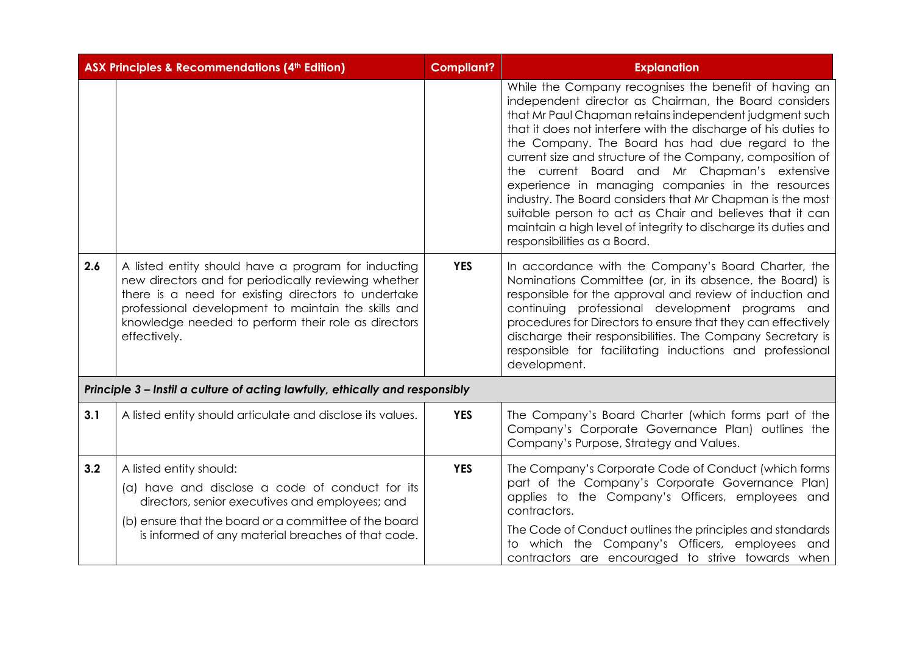|     | <b>ASX Principles &amp; Recommendations (4th Edition)</b>                                                                                                                                                                                                                                        | <b>Compliant?</b> | <b>Explanation</b>                                                                                                                                                                                                                                                                                                                                                                                                                                                                                                                                                                                                                                                                          |
|-----|--------------------------------------------------------------------------------------------------------------------------------------------------------------------------------------------------------------------------------------------------------------------------------------------------|-------------------|---------------------------------------------------------------------------------------------------------------------------------------------------------------------------------------------------------------------------------------------------------------------------------------------------------------------------------------------------------------------------------------------------------------------------------------------------------------------------------------------------------------------------------------------------------------------------------------------------------------------------------------------------------------------------------------------|
|     |                                                                                                                                                                                                                                                                                                  |                   | While the Company recognises the benefit of having an<br>independent director as Chairman, the Board considers<br>that Mr Paul Chapman retains independent judgment such<br>that it does not interfere with the discharge of his duties to<br>the Company. The Board has had due regard to the<br>current size and structure of the Company, composition of<br>the current Board and Mr Chapman's extensive<br>experience in managing companies in the resources<br>industry. The Board considers that Mr Chapman is the most<br>suitable person to act as Chair and believes that it can<br>maintain a high level of integrity to discharge its duties and<br>responsibilities as a Board. |
| 2.6 | A listed entity should have a program for inducting<br>new directors and for periodically reviewing whether<br>there is a need for existing directors to undertake<br>professional development to maintain the skills and<br>knowledge needed to perform their role as directors<br>effectively. | <b>YES</b>        | In accordance with the Company's Board Charter, the<br>Nominations Committee (or, in its absence, the Board) is<br>responsible for the approval and review of induction and<br>continuing professional development programs and<br>procedures for Directors to ensure that they can effectively<br>discharge their responsibilities. The Company Secretary is<br>responsible for facilitating inductions and professional<br>development.                                                                                                                                                                                                                                                   |
|     | Principle 3 - Instil a culture of acting lawfully, ethically and responsibly                                                                                                                                                                                                                     |                   |                                                                                                                                                                                                                                                                                                                                                                                                                                                                                                                                                                                                                                                                                             |
| 3.1 | A listed entity should articulate and disclose its values.                                                                                                                                                                                                                                       | <b>YES</b>        | The Company's Board Charter (which forms part of the<br>Company's Corporate Governance Plan) outlines the<br>Company's Purpose, Strategy and Values.                                                                                                                                                                                                                                                                                                                                                                                                                                                                                                                                        |
| 3.2 | A listed entity should:<br>(a) have and disclose a code of conduct for its<br>directors, senior executives and employees; and<br>(b) ensure that the board or a committee of the board<br>is informed of any material breaches of that code.                                                     | <b>YES</b>        | The Company's Corporate Code of Conduct (which forms<br>part of the Company's Corporate Governance Plan)<br>applies to the Company's Officers, employees and<br>contractors.<br>The Code of Conduct outlines the principles and standards<br>to which the Company's Officers, employees and<br>contractors are encouraged to strive towards when                                                                                                                                                                                                                                                                                                                                            |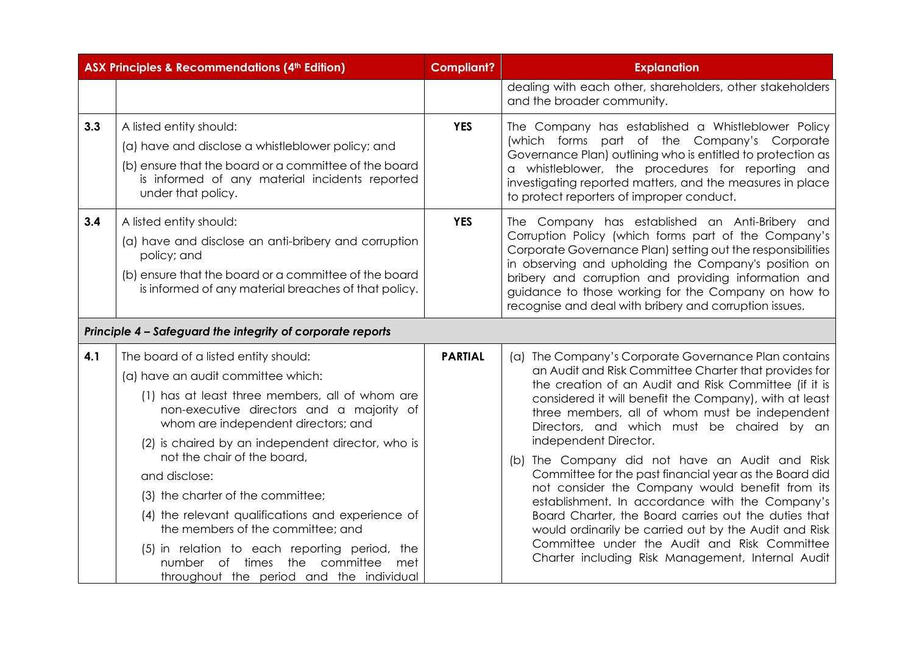|     | <b>ASX Principles &amp; Recommendations (4th Edition)</b>                                                                                                                                                                                                                                                                                                                                                                                                                                                                                                                               |                | <b>Explanation</b>                                                                                                                                                                                                                                                                                                                                                                                                                                                                                                                                                                                                                                                                                                                                                                                   |
|-----|-----------------------------------------------------------------------------------------------------------------------------------------------------------------------------------------------------------------------------------------------------------------------------------------------------------------------------------------------------------------------------------------------------------------------------------------------------------------------------------------------------------------------------------------------------------------------------------------|----------------|------------------------------------------------------------------------------------------------------------------------------------------------------------------------------------------------------------------------------------------------------------------------------------------------------------------------------------------------------------------------------------------------------------------------------------------------------------------------------------------------------------------------------------------------------------------------------------------------------------------------------------------------------------------------------------------------------------------------------------------------------------------------------------------------------|
|     |                                                                                                                                                                                                                                                                                                                                                                                                                                                                                                                                                                                         |                | dealing with each other, shareholders, other stakeholders<br>and the broader community.                                                                                                                                                                                                                                                                                                                                                                                                                                                                                                                                                                                                                                                                                                              |
| 3.3 | A listed entity should:<br>(a) have and disclose a whistleblower policy; and<br>(b) ensure that the board or a committee of the board<br>is informed of any material incidents reported<br>under that policy.                                                                                                                                                                                                                                                                                                                                                                           | <b>YES</b>     | The Company has established a Whistleblower Policy<br>(which forms part of the Company's Corporate<br>Governance Plan) outlining who is entitled to protection as<br>a whistleblower, the procedures for reporting and<br>investigating reported matters, and the measures in place<br>to protect reporters of improper conduct.                                                                                                                                                                                                                                                                                                                                                                                                                                                                     |
| 3.4 | A listed entity should:<br>(a) have and disclose an anti-bribery and corruption<br>policy; and<br>(b) ensure that the board or a committee of the board<br>is informed of any material breaches of that policy.                                                                                                                                                                                                                                                                                                                                                                         | <b>YES</b>     | The Company has established an Anti-Bribery and<br>Corruption Policy (which forms part of the Company's<br>Corporate Governance Plan) setting out the responsibilities<br>in observing and upholding the Company's position on<br>bribery and corruption and providing information and<br>guidance to those working for the Company on how to<br>recognise and deal with bribery and corruption issues.                                                                                                                                                                                                                                                                                                                                                                                              |
|     | Principle 4 - Safeguard the integrity of corporate reports                                                                                                                                                                                                                                                                                                                                                                                                                                                                                                                              |                |                                                                                                                                                                                                                                                                                                                                                                                                                                                                                                                                                                                                                                                                                                                                                                                                      |
| 4.1 | The board of a listed entity should:<br>(a) have an audit committee which:<br>(1) has at least three members, all of whom are<br>non-executive directors and a majority of<br>whom are independent directors; and<br>(2) is chaired by an independent director, who is<br>not the chair of the board,<br>and disclose:<br>(3) the charter of the committee;<br>(4) the relevant qualifications and experience of<br>the members of the committee; and<br>(5) in relation to each reporting period, the<br>number of times the committee met<br>throughout the period and the individual | <b>PARTIAL</b> | (a) The Company's Corporate Governance Plan contains<br>an Audit and Risk Committee Charter that provides for<br>the creation of an Audit and Risk Committee (if it is<br>considered it will benefit the Company), with at least<br>three members, all of whom must be independent<br>Directors, and which must be chaired by an<br>independent Director.<br>The Company did not have an Audit and Risk<br>(b)<br>Committee for the past financial year as the Board did<br>not consider the Company would benefit from its<br>establishment. In accordance with the Company's<br>Board Charter, the Board carries out the duties that<br>would ordinarily be carried out by the Audit and Risk<br>Committee under the Audit and Risk Committee<br>Charter including Risk Management, Internal Audit |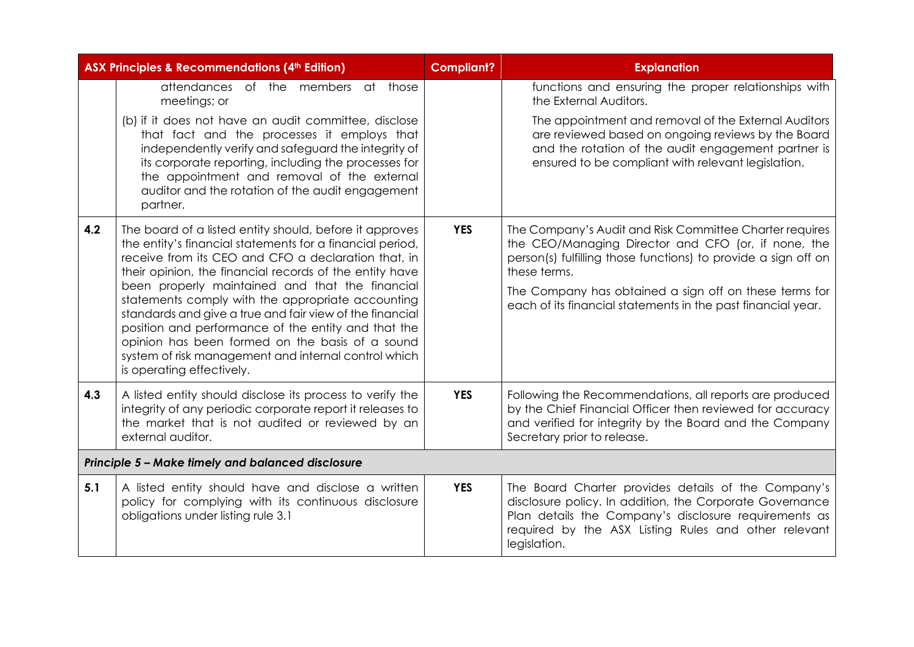|                                                   | <b>ASX Principles &amp; Recommendations (4th Edition)</b>                                                                                                                                                                                                                                                                                                                                                                                                                                                                                                                                                 | <b>Compliant?</b> | <b>Explanation</b>                                                                                                                                                                                                                                                                                                         |  |
|---------------------------------------------------|-----------------------------------------------------------------------------------------------------------------------------------------------------------------------------------------------------------------------------------------------------------------------------------------------------------------------------------------------------------------------------------------------------------------------------------------------------------------------------------------------------------------------------------------------------------------------------------------------------------|-------------------|----------------------------------------------------------------------------------------------------------------------------------------------------------------------------------------------------------------------------------------------------------------------------------------------------------------------------|--|
|                                                   | attendances of the members at those<br>meetings; or                                                                                                                                                                                                                                                                                                                                                                                                                                                                                                                                                       |                   | functions and ensuring the proper relationships with<br>the External Auditors.                                                                                                                                                                                                                                             |  |
|                                                   | (b) if it does not have an audit committee, disclose<br>that fact and the processes it employs that<br>independently verify and safeguard the integrity of<br>its corporate reporting, including the processes for<br>the appointment and removal of the external<br>auditor and the rotation of the audit engagement<br>partner.                                                                                                                                                                                                                                                                         |                   | The appointment and removal of the External Auditors<br>are reviewed based on ongoing reviews by the Board<br>and the rotation of the audit engagement partner is<br>ensured to be compliant with relevant legislation.                                                                                                    |  |
| 4.2                                               | The board of a listed entity should, before it approves<br>the entity's financial statements for a financial period,<br>receive from its CEO and CFO a declaration that, in<br>their opinion, the financial records of the entity have<br>been properly maintained and that the financial<br>statements comply with the appropriate accounting<br>standards and give a true and fair view of the financial<br>position and performance of the entity and that the<br>opinion has been formed on the basis of a sound<br>system of risk management and internal control which<br>is operating effectively. | <b>YES</b>        | The Company's Audit and Risk Committee Charter requires<br>the CEO/Managing Director and CFO (or, if none, the<br>person(s) fulfilling those functions) to provide a sign off on<br>these terms.<br>The Company has obtained a sign off on these terms for<br>each of its financial statements in the past financial year. |  |
| 4.3                                               | A listed entity should disclose its process to verify the<br>integrity of any periodic corporate report it releases to<br>the market that is not audited or reviewed by an<br>external auditor.                                                                                                                                                                                                                                                                                                                                                                                                           | <b>YES</b>        | Following the Recommendations, all reports are produced<br>by the Chief Financial Officer then reviewed for accuracy<br>and verified for integrity by the Board and the Company<br>Secretary prior to release.                                                                                                             |  |
| Principle 5 - Make timely and balanced disclosure |                                                                                                                                                                                                                                                                                                                                                                                                                                                                                                                                                                                                           |                   |                                                                                                                                                                                                                                                                                                                            |  |
| 5.1                                               | A listed entity should have and disclose a written<br>policy for complying with its continuous disclosure<br>obligations under listing rule 3.1                                                                                                                                                                                                                                                                                                                                                                                                                                                           | <b>YES</b>        | The Board Charter provides details of the Company's<br>disclosure policy. In addition, the Corporate Governance<br>Plan details the Company's disclosure requirements as<br>required by the ASX Listing Rules and other relevant<br>legislation.                                                                           |  |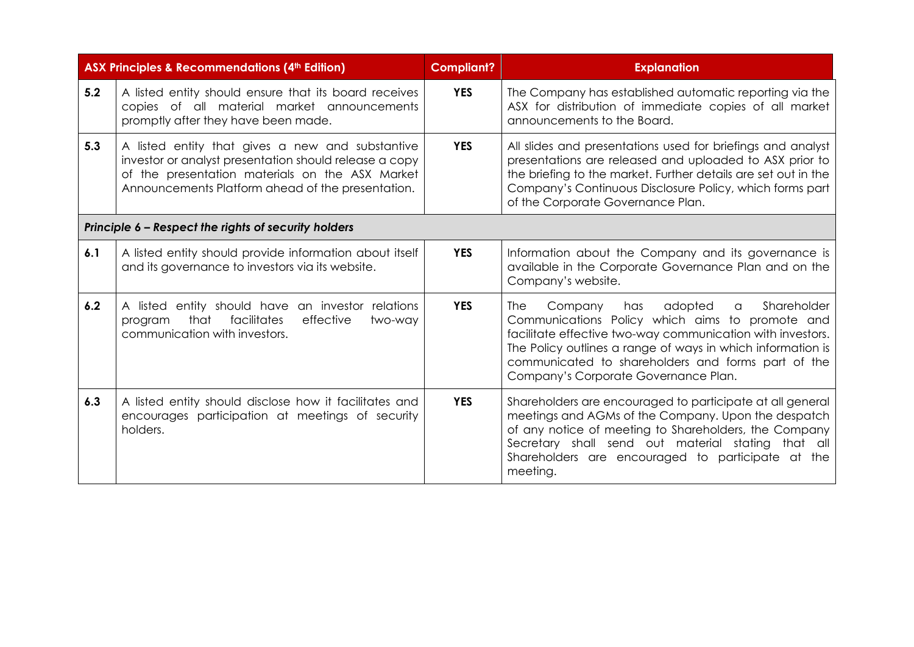|     | <b>ASX Principles &amp; Recommendations (4th Edition)</b>                                                                                                                                                          | <b>Compliant?</b> | <b>Explanation</b>                                                                                                                                                                                                                                                                                                                          |
|-----|--------------------------------------------------------------------------------------------------------------------------------------------------------------------------------------------------------------------|-------------------|---------------------------------------------------------------------------------------------------------------------------------------------------------------------------------------------------------------------------------------------------------------------------------------------------------------------------------------------|
| 5.2 | A listed entity should ensure that its board receives<br>copies of all material market announcements<br>promptly after they have been made.                                                                        | <b>YES</b>        | The Company has established automatic reporting via the<br>ASX for distribution of immediate copies of all market<br>announcements to the Board.                                                                                                                                                                                            |
| 5.3 | A listed entity that gives a new and substantive<br>investor or analyst presentation should release a copy<br>of the presentation materials on the ASX Market<br>Announcements Platform ahead of the presentation. | <b>YES</b>        | All slides and presentations used for briefings and analyst<br>presentations are released and uploaded to ASX prior to<br>the briefing to the market. Further details are set out in the<br>Company's Continuous Disclosure Policy, which forms part<br>of the Corporate Governance Plan.                                                   |
|     | Principle 6 - Respect the rights of security holders                                                                                                                                                               |                   |                                                                                                                                                                                                                                                                                                                                             |
| 6.1 | A listed entity should provide information about itself<br>and its governance to investors via its website.                                                                                                        | <b>YES</b>        | Information about the Company and its governance is<br>available in the Corporate Governance Plan and on the<br>Company's website.                                                                                                                                                                                                          |
| 6.2 | A listed entity should have an investor relations<br>facilitates<br>that<br>effective<br>two-way<br>program<br>communication with investors.                                                                       | <b>YES</b>        | adopted<br>Company<br>Shareholder<br>has<br>$\alpha$<br>The I<br>Communications Policy which aims to promote and<br>facilitate effective two-way communication with investors.<br>The Policy outlines a range of ways in which information is<br>communicated to shareholders and forms part of the<br>Company's Corporate Governance Plan. |
| 6.3 | A listed entity should disclose how it facilitates and<br>encourages participation at meetings of security<br>holders.                                                                                             | <b>YES</b>        | Shareholders are encouraged to participate at all general<br>meetings and AGMs of the Company. Upon the despatch<br>of any notice of meeting to Shareholders, the Company<br>Secretary shall send out material stating that all<br>Shareholders are encouraged to participate at the<br>meeting.                                            |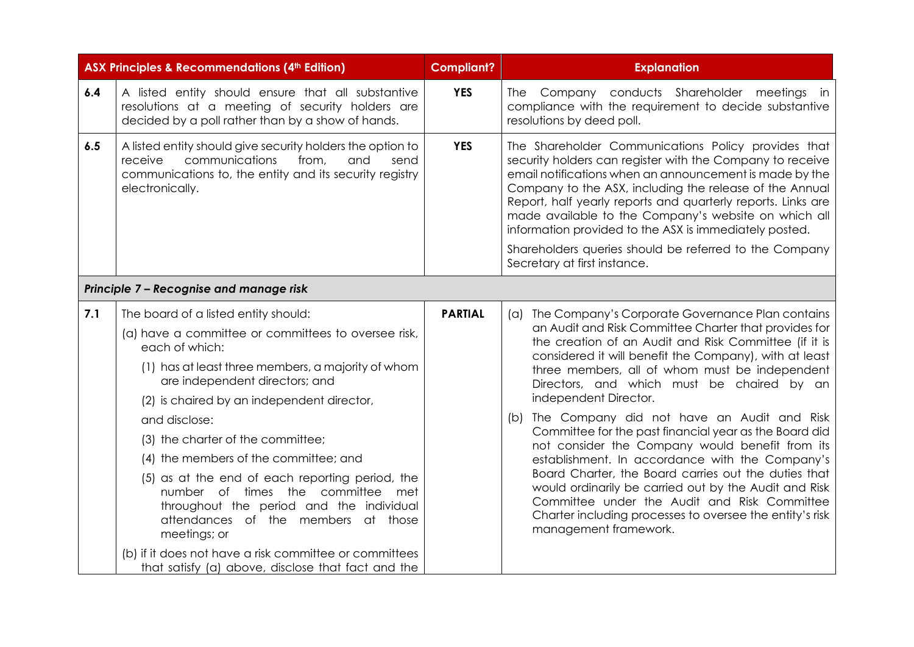|     | <b>ASX Principles &amp; Recommendations (4th Edition)</b>                                                                                                                                                                                                                                                                                                                                                                                                                                                                                                                                                                                                        | <b>Compliant?</b> | <b>Explanation</b>                                                                                                                                                                                                                                                                                                                                                                                                                                                                                                                                                                                                                                                                                                                                                                                                                   |
|-----|------------------------------------------------------------------------------------------------------------------------------------------------------------------------------------------------------------------------------------------------------------------------------------------------------------------------------------------------------------------------------------------------------------------------------------------------------------------------------------------------------------------------------------------------------------------------------------------------------------------------------------------------------------------|-------------------|--------------------------------------------------------------------------------------------------------------------------------------------------------------------------------------------------------------------------------------------------------------------------------------------------------------------------------------------------------------------------------------------------------------------------------------------------------------------------------------------------------------------------------------------------------------------------------------------------------------------------------------------------------------------------------------------------------------------------------------------------------------------------------------------------------------------------------------|
| 6.4 | A listed entity should ensure that all substantive<br>resolutions at a meeting of security holders are<br>decided by a poll rather than by a show of hands.                                                                                                                                                                                                                                                                                                                                                                                                                                                                                                      | <b>YES</b>        | The Company conducts Shareholder meetings in<br>compliance with the requirement to decide substantive<br>resolutions by deed poll.                                                                                                                                                                                                                                                                                                                                                                                                                                                                                                                                                                                                                                                                                                   |
| 6.5 | A listed entity should give security holders the option to<br>communications<br>receive<br>from,<br>and<br>send<br>communications to, the entity and its security registry<br>electronically.                                                                                                                                                                                                                                                                                                                                                                                                                                                                    | <b>YES</b>        | The Shareholder Communications Policy provides that<br>security holders can register with the Company to receive<br>email notifications when an announcement is made by the<br>Company to the ASX, including the release of the Annual<br>Report, half yearly reports and quarterly reports. Links are<br>made available to the Company's website on which all<br>information provided to the ASX is immediately posted.<br>Shareholders queries should be referred to the Company<br>Secretary at first instance.                                                                                                                                                                                                                                                                                                                   |
|     | Principle 7 - Recognise and manage risk                                                                                                                                                                                                                                                                                                                                                                                                                                                                                                                                                                                                                          |                   |                                                                                                                                                                                                                                                                                                                                                                                                                                                                                                                                                                                                                                                                                                                                                                                                                                      |
| 7.1 | The board of a listed entity should:<br>(a) have a committee or committees to oversee risk,<br>each of which:<br>(1) has at least three members, a majority of whom<br>are independent directors; and<br>(2) is chaired by an independent director,<br>and disclose:<br>(3) the charter of the committee;<br>(4) the members of the committee; and<br>(5) as at the end of each reporting period, the<br>number of times the committee<br>met<br>throughout the period and the individual<br>attendances of the members at those<br>meetings; or<br>(b) if it does not have a risk committee or committees<br>that satisfy (a) above, disclose that fact and the | <b>PARTIAL</b>    | (a) The Company's Corporate Governance Plan contains<br>an Audit and Risk Committee Charter that provides for<br>the creation of an Audit and Risk Committee (if it is<br>considered it will benefit the Company), with at least<br>three members, all of whom must be independent<br>Directors, and which must be chaired by an<br>independent Director.<br>The Company did not have an Audit and Risk<br>(b)<br>Committee for the past financial year as the Board did<br>not consider the Company would benefit from its<br>establishment. In accordance with the Company's<br>Board Charter, the Board carries out the duties that<br>would ordinarily be carried out by the Audit and Risk<br>Committee under the Audit and Risk Committee<br>Charter including processes to oversee the entity's risk<br>management framework. |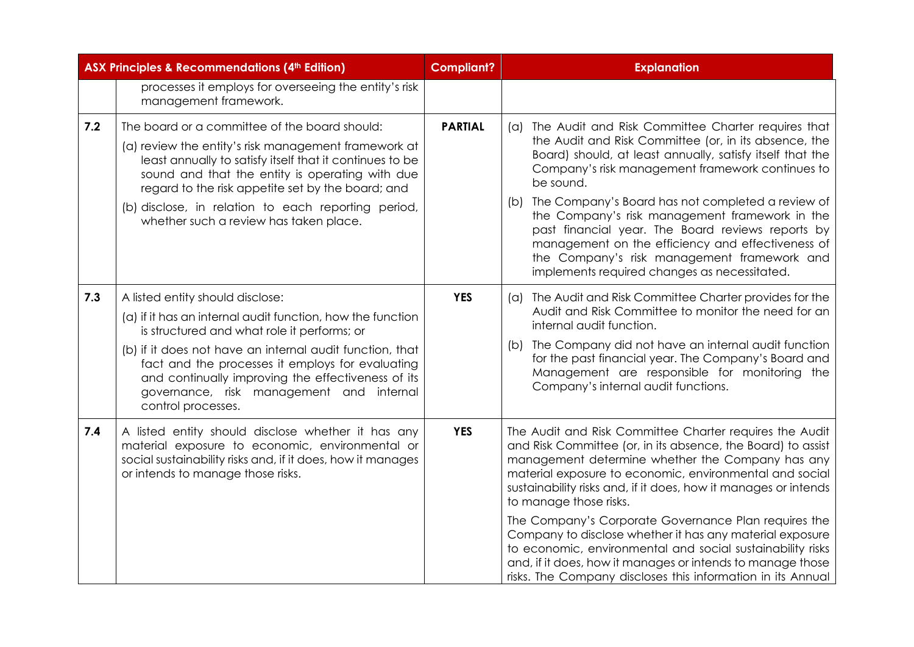|     | <b>ASX Principles &amp; Recommendations (4th Edition)</b>                                                                                                                                                                                                                                                                                                                             | <b>Compliant?</b> | <b>Explanation</b>                                                                                                                                                                                                                                                                                                                                                                                                                                                                                                                                                                                                                                 |
|-----|---------------------------------------------------------------------------------------------------------------------------------------------------------------------------------------------------------------------------------------------------------------------------------------------------------------------------------------------------------------------------------------|-------------------|----------------------------------------------------------------------------------------------------------------------------------------------------------------------------------------------------------------------------------------------------------------------------------------------------------------------------------------------------------------------------------------------------------------------------------------------------------------------------------------------------------------------------------------------------------------------------------------------------------------------------------------------------|
|     | processes it employs for overseeing the entity's risk<br>management framework.                                                                                                                                                                                                                                                                                                        |                   |                                                                                                                                                                                                                                                                                                                                                                                                                                                                                                                                                                                                                                                    |
| 7.2 | The board or a committee of the board should:<br>(a) review the entity's risk management framework at<br>least annually to satisfy itself that it continues to be<br>sound and that the entity is operating with due<br>regard to the risk appetite set by the board; and<br>(b) disclose, in relation to each reporting period,<br>whether such a review has taken place.            | <b>PARTIAL</b>    | The Audit and Risk Committee Charter requires that<br>(a)<br>the Audit and Risk Committee (or, in its absence, the<br>Board) should, at least annually, satisfy itself that the<br>Company's risk management framework continues to<br>be sound.<br>The Company's Board has not completed a review of<br>(b)<br>the Company's risk management framework in the<br>past financial year. The Board reviews reports by<br>management on the efficiency and effectiveness of<br>the Company's risk management framework and<br>implements required changes as necessitated.                                                                            |
| 7.3 | A listed entity should disclose:<br>(a) if it has an internal audit function, how the function<br>is structured and what role it performs; or<br>(b) if it does not have an internal audit function, that<br>fact and the processes it employs for evaluating<br>and continually improving the effectiveness of its<br>governance, risk management and internal<br>control processes. | <b>YES</b>        | The Audit and Risk Committee Charter provides for the<br>(a)<br>Audit and Risk Committee to monitor the need for an<br>internal audit function.<br>The Company did not have an internal audit function<br>(b)<br>for the past financial year. The Company's Board and<br>Management are responsible for monitoring the<br>Company's internal audit functions.                                                                                                                                                                                                                                                                                      |
| 7.4 | A listed entity should disclose whether it has any<br>material exposure to economic, environmental or<br>social sustainability risks and, if it does, how it manages<br>or intends to manage those risks.                                                                                                                                                                             | <b>YES</b>        | The Audit and Risk Committee Charter requires the Audit<br>and Risk Committee (or, in its absence, the Board) to assist<br>management determine whether the Company has any<br>material exposure to economic, environmental and social<br>sustainability risks and, if it does, how it manages or intends<br>to manage those risks.<br>The Company's Corporate Governance Plan requires the<br>Company to disclose whether it has any material exposure<br>to economic, environmental and social sustainability risks<br>and, if it does, how it manages or intends to manage those<br>risks. The Company discloses this information in its Annual |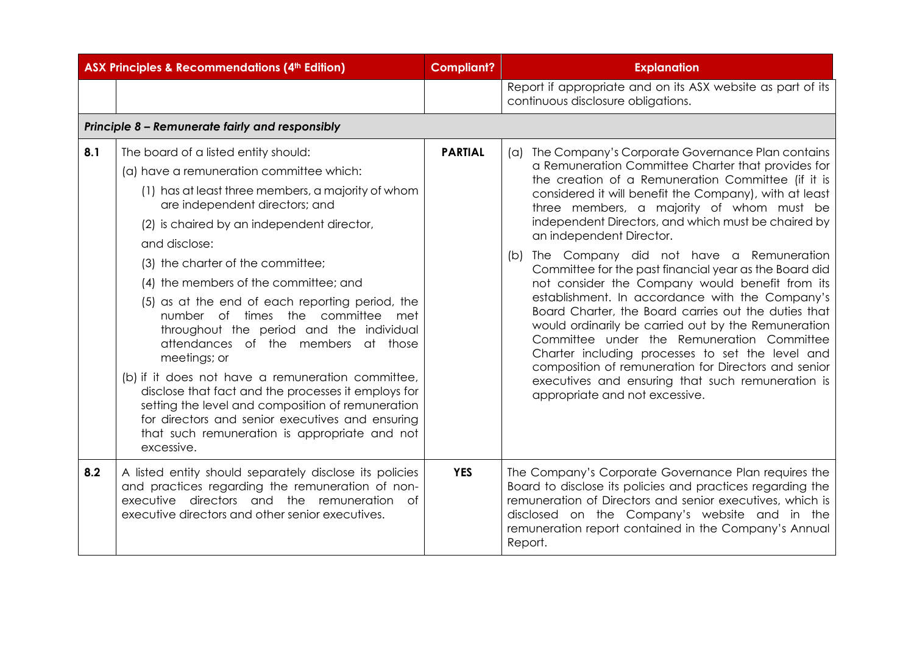| <b>ASX Principles &amp; Recommendations (4th Edition)</b> |                                                                                                                                                                                                                                                                                                                                                                                                                                                                                                                                                                                                                                                                                                                                                                                                         | <b>Compliant?</b> | <b>Explanation</b>                                                                                                                                                                                                                                                                                                                                                                                                                                                                                                                                                                                                                                                                                                                                                                                                                                                                                                                           |
|-----------------------------------------------------------|---------------------------------------------------------------------------------------------------------------------------------------------------------------------------------------------------------------------------------------------------------------------------------------------------------------------------------------------------------------------------------------------------------------------------------------------------------------------------------------------------------------------------------------------------------------------------------------------------------------------------------------------------------------------------------------------------------------------------------------------------------------------------------------------------------|-------------------|----------------------------------------------------------------------------------------------------------------------------------------------------------------------------------------------------------------------------------------------------------------------------------------------------------------------------------------------------------------------------------------------------------------------------------------------------------------------------------------------------------------------------------------------------------------------------------------------------------------------------------------------------------------------------------------------------------------------------------------------------------------------------------------------------------------------------------------------------------------------------------------------------------------------------------------------|
|                                                           |                                                                                                                                                                                                                                                                                                                                                                                                                                                                                                                                                                                                                                                                                                                                                                                                         |                   | Report if appropriate and on its ASX website as part of its<br>continuous disclosure obligations.                                                                                                                                                                                                                                                                                                                                                                                                                                                                                                                                                                                                                                                                                                                                                                                                                                            |
|                                                           | Principle 8 - Remunerate fairly and responsibly                                                                                                                                                                                                                                                                                                                                                                                                                                                                                                                                                                                                                                                                                                                                                         |                   |                                                                                                                                                                                                                                                                                                                                                                                                                                                                                                                                                                                                                                                                                                                                                                                                                                                                                                                                              |
| 8.1                                                       | The board of a listed entity should:<br>(a) have a remuneration committee which:<br>(1) has at least three members, a majority of whom<br>are independent directors; and<br>(2) is chaired by an independent director,<br>and disclose:<br>(3) the charter of the committee;<br>(4) the members of the committee; and<br>(5) as at the end of each reporting period, the<br>number of times the committee<br>met<br>throughout the period and the individual<br>attendances of the members at those<br>meetings; or<br>(b) if it does not have a remuneration committee,<br>disclose that fact and the processes it employs for<br>setting the level and composition of remuneration<br>for directors and senior executives and ensuring<br>that such remuneration is appropriate and not<br>excessive. | <b>PARTIAL</b>    | (a) The Company's Corporate Governance Plan contains<br>a Remuneration Committee Charter that provides for<br>the creation of a Remuneration Committee (if it is<br>considered it will benefit the Company), with at least<br>three members, a majority of whom must be<br>independent Directors, and which must be chaired by<br>an independent Director.<br>The Company did not have a Remuneration<br>(b)<br>Committee for the past financial year as the Board did<br>not consider the Company would benefit from its<br>establishment. In accordance with the Company's<br>Board Charter, the Board carries out the duties that<br>would ordinarily be carried out by the Remuneration<br>Committee under the Remuneration Committee<br>Charter including processes to set the level and<br>composition of remuneration for Directors and senior<br>executives and ensuring that such remuneration is<br>appropriate and not excessive. |
| 8.2                                                       | A listed entity should separately disclose its policies<br>and practices regarding the remuneration of non-<br>executive directors and the remuneration<br>0f<br>executive directors and other senior executives.                                                                                                                                                                                                                                                                                                                                                                                                                                                                                                                                                                                       | <b>YES</b>        | The Company's Corporate Governance Plan requires the<br>Board to disclose its policies and practices regarding the<br>remuneration of Directors and senior executives, which is<br>disclosed on the Company's website and in the<br>remuneration report contained in the Company's Annual<br>Report.                                                                                                                                                                                                                                                                                                                                                                                                                                                                                                                                                                                                                                         |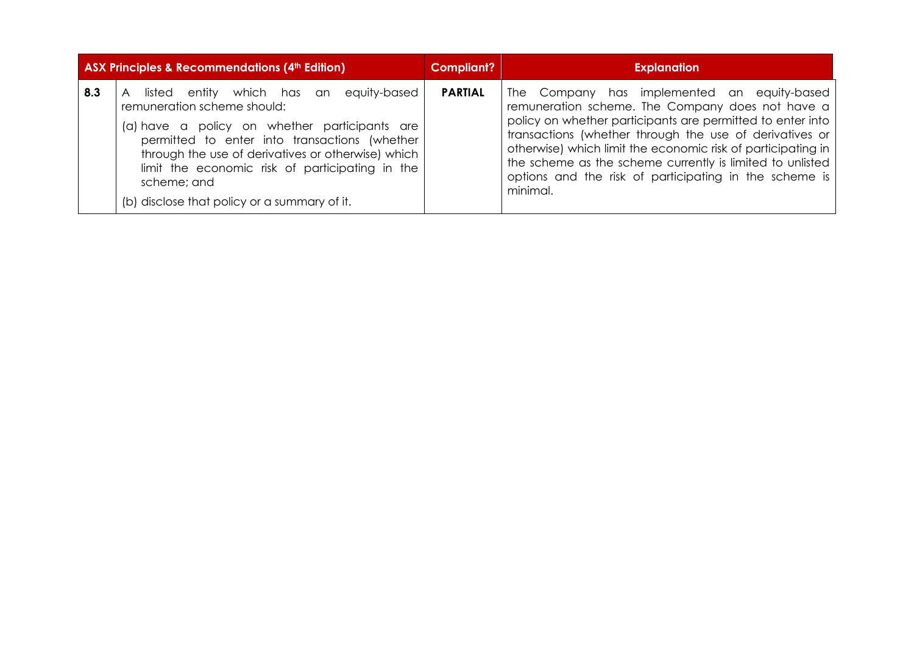|     | ASX Principles & Recommendations (4th Edition)                                                                                                                                                                                                                                                                                                   | <b>Compliant?</b> | <b>Explanation</b>                                                                                                                                                                                                                                                                                                                                                                                                          |  |  |  |  |
|-----|--------------------------------------------------------------------------------------------------------------------------------------------------------------------------------------------------------------------------------------------------------------------------------------------------------------------------------------------------|-------------------|-----------------------------------------------------------------------------------------------------------------------------------------------------------------------------------------------------------------------------------------------------------------------------------------------------------------------------------------------------------------------------------------------------------------------------|--|--|--|--|
| 8.3 | listed entity which has an equity-based<br>remuneration scheme should:<br>(a) have a policy on whether participants are<br>permitted to enter into transactions (whether<br>through the use of derivatives or otherwise) which<br>limit the economic risk of participating in the<br>scheme; and<br>(b) disclose that policy or a summary of it. | <b>PARTIAL</b>    | The Company has implemented an equity-based<br>remuneration scheme. The Company does not have a<br>policy on whether participants are permitted to enter into<br>transactions (whether through the use of derivatives or<br>otherwise) which limit the economic risk of participating in<br>the scheme as the scheme currently is limited to unlisted<br>options and the risk of participating in the scheme is<br>minimal. |  |  |  |  |